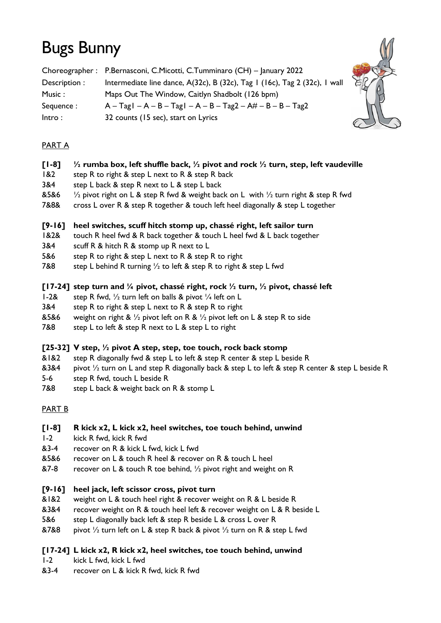# Bugs Bunny

|               | Choreographer: P.Bernasconi, C.Micotti, C.Tumminaro (CH) - January 2022    |
|---------------|----------------------------------------------------------------------------|
| Description : | Intermediate line dance, A(32c), B (32c), Tag I (16c), Tag 2 (32c), I wall |
| Music :       | Maps Out The Window, Caitlyn Shadbolt (126 bpm)                            |
| Sequence:     | $A - TagI - A - B - TagI - A - B - Tag2 - At - B - B - Tag2$               |
| Intro:        | 32 counts (15 sec), start on Lyrics                                        |



# PART A

## **[1-8] ½ rumba box, left shuffle back, ½ pivot and rock ½ turn, step, left vaudeville**

- 1&2 step R to right & step L next to R & step R back
- 3&4 step L back & step R next to L & step L back
- &5&6  $\frac{1}{2}$  pivot right on L & step R fwd & weight back on L with  $\frac{1}{2}$  turn right & step R fwd
- 7&8& cross L over R & step R together & touch left heel diagonally & step L together

#### **[9-16] heel switches, scuff hitch stomp up, chassé right, left sailor turn**

- 1&2& touch R heel fwd & R back together & touch L heel fwd & L back together
- 3&4 scuff R & hitch R & stomp up R next to L
- 5&6 step R to right & step L next to R & step R to right
- 7&8 step L behind R turning  $\frac{1}{2}$  to left & step R to right & step L fwd

#### **[17-24] step turn and ¼ pivot, chassé right, rock ½ turn, ½ pivot, chassé left**

- 1-2& step R fwd,  $\frac{1}{2}$  turn left on balls & pivot  $\frac{1}{4}$  left on L
- 3&4 step R to right & step L next to R & step R to right
- &5&6 weight on right &  $\frac{1}{2}$  pivot left on R &  $\frac{1}{2}$  pivot left on L & step R to side
- 7&8 step L to left & step R next to L & step L to right

## **[25-32] V step, ½ pivot A step, step, toe touch, rock back stomp**

- &1&2 step R diagonally fwd & step L to left & step R center & step L beside R
- &3&4 pivot  $\frac{1}{2}$  turn on L and step R diagonally back & step L to left & step R center & step L beside R
- 5-6 step R fwd, touch L beside R
- 7&8 step L back & weight back on R & stomp L

## PART B

## **[1-8] R kick x2, L kick x2, heel switches, toe touch behind, unwind**

- 1-2 kick R fwd, kick R fwd
- &3-4 recover on R & kick L fwd, kick L fwd
- &5&6 recover on L & touch R heel & recover on R & touch L heel
- &7-8 recover on L & touch R toe behind,  $\frac{1}{2}$  pivot right and weight on R

## **[9-16] heel jack, left scissor cross, pivot turn**

- &1&2 weight on L & touch heel right & recover weight on R & L beside R
- &3&4 recover weight on R & touch heel left & recover weight on L & R beside L
- 5&6 step L diagonally back left & step R beside L & cross L over R
- &7&8 pivot 1/2 turn left on L & step R back & pivot 1/2 turn on R & step L fwd

## **[17-24] L kick x2, R kick x2, heel switches, toe touch behind, unwind**

- 1-2 kick L fwd, kick L fwd
- &3-4 recover on L & kick R fwd, kick R fwd